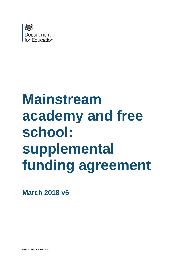

# **Mainstream academy and free school: supplemental funding agreement**

**March 2018 v6**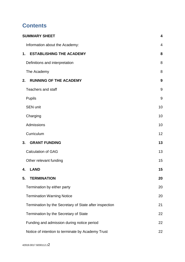# **Contents**

| <b>SUMMARY SHEET</b>                                   | $\overline{\mathbf{4}}$ |
|--------------------------------------------------------|-------------------------|
| Information about the Academy:                         | 4                       |
| <b>ESTABLISHING THE ACADEMY</b><br>1.                  | 8                       |
| Definitions and interpretation                         | 8                       |
| The Academy                                            | 8                       |
| <b>RUNNING OF THE ACADEMY</b><br>2.                    | 9                       |
| <b>Teachers and staff</b>                              | 9                       |
| <b>Pupils</b>                                          | 9                       |
| <b>SEN unit</b>                                        | 10                      |
| Charging                                               | 10                      |
| Admissions                                             | 10                      |
| Curriculum                                             | 12                      |
| 3.<br><b>GRANT FUNDING</b>                             | 13                      |
| <b>Calculation of GAG</b>                              | 13                      |
| Other relevant funding                                 | 15                      |
| <b>LAND</b><br>4.                                      | 15                      |
| 5.<br><b>TERMINATION</b>                               | 20                      |
| Termination by either party                            | 20                      |
| <b>Termination Warning Notice</b>                      | 20                      |
| Termination by the Secretary of State after inspection | 21                      |
| Termination by the Secretary of State                  | 22                      |
| Funding and admission during notice period             | 22                      |
| Notice of intention to terminate by Academy Trust      | 22                      |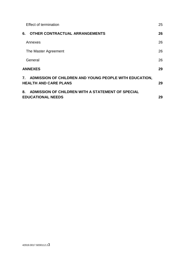| <b>Effect of termination</b>                                                              | 25 |
|-------------------------------------------------------------------------------------------|----|
| <b>OTHER CONTRACTUAL ARRANGEMENTS</b><br>6.                                               | 26 |
| Annexes                                                                                   | 26 |
| The Master Agreement                                                                      | 26 |
| General                                                                                   | 26 |
| <b>ANNEXES</b>                                                                            | 29 |
| 7. ADMISSION OF CHILDREN AND YOUNG PEOPLE WITH EDUCATION,<br><b>HEALTH AND CARE PLANS</b> | 29 |
| ADMISSION OF CHILDREN WITH A STATEMENT OF SPECIAL<br>8.<br><b>EDUCATIONAL NEEDS</b>       | 29 |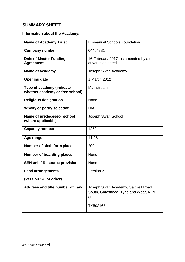# <span id="page-3-0"></span>**SUMMARY SHEET**

# <span id="page-3-1"></span>**Information about the Academy:**

| <b>Name of Academy Trust</b>                                 | <b>Emmanuel Schools Foundation</b>                                                |  |
|--------------------------------------------------------------|-----------------------------------------------------------------------------------|--|
| <b>Company number</b>                                        | 04464331                                                                          |  |
| <b>Date of Master Funding</b><br><b>Agreement</b>            | 16 February 2017, as amended by a deed<br>of variation dated                      |  |
| Name of academy                                              | Joseph Swan Academy                                                               |  |
| <b>Opening date</b>                                          | 1 March 2012                                                                      |  |
| Type of academy (indicate<br>whether academy or free school) | Mainstream                                                                        |  |
| <b>Religious designation</b>                                 | None                                                                              |  |
| Wholly or partly selective                                   | N/A                                                                               |  |
| Name of predecessor school<br>(where applicable)             | Joseph Swan School                                                                |  |
| <b>Capacity number</b>                                       | 1250                                                                              |  |
| Age range                                                    | $11 - 18$                                                                         |  |
| Number of sixth form places                                  | 200                                                                               |  |
| <b>Number of boarding places</b>                             | None                                                                              |  |
| <b>SEN unit / Resource provision</b>                         | None                                                                              |  |
| <b>Land arrangements</b>                                     | Version 2                                                                         |  |
| (Version 1-8 or other)                                       |                                                                                   |  |
| Address and title number of Land                             | Joseph Swan Academy, Saltwell Road<br>South, Gateshead, Tyne and Wear, NE9<br>6LE |  |
|                                                              | TY502167                                                                          |  |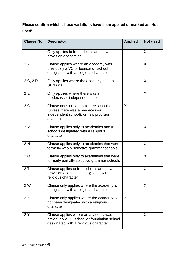# **Please confirm which clause variations have been applied or marked as 'Not used'**

| <b>Clause No.</b> | <b>Descriptor</b>                                                                                                              | <b>Applied</b> | <b>Not used</b> |
|-------------------|--------------------------------------------------------------------------------------------------------------------------------|----------------|-----------------|
| 1.1               | Only applies to free schools and new<br>provision academies                                                                    |                | X               |
| 2.A.1             | Clause applies where an academy was<br>previously a VC or foundation school<br>designated with a religious character           |                | X               |
| 2.C, 2.D          | Only applies where the academy has an<br><b>SEN unit</b>                                                                       |                | X               |
| 2.E               | Only applies where there was a<br>predecessor independent school                                                               |                | X               |
| 2.G               | Clause does not apply to free schools<br>(unless there was a predecessor<br>independent school), or new provision<br>academies | X              |                 |
| 2.M               | Clause applies only to academies and free<br>schools designated with a religious<br>character                                  |                | X               |
| 2.N               | Clause applies only to academies that were<br>formerly wholly selective grammar schools                                        |                | X               |
| 2.0               | Clause applies only to academies that were<br>formerly partially selective grammar schools                                     |                | X               |
| 2.7               | Clause applies to free schools and new<br>provision academies designated with a<br>religious character                         |                | X               |
| 2.W               | Clause only applies where the academy is<br>designated with a religious character                                              |                | X               |
| 2.X               | Clause only applies where the academy has<br>not been designated with a religious<br>character                                 | $\sf X$        |                 |
| 2.Y               | Clause applies where an academy was<br>previously a VC school or foundation school<br>designated with a religious character    |                | X               |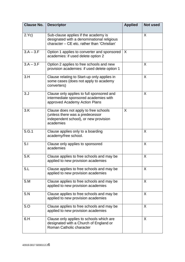| <b>Clause No.</b> | <b>Descriptor</b>                                                                                                                 | <b>Applied</b> | <b>Not used</b> |
|-------------------|-----------------------------------------------------------------------------------------------------------------------------------|----------------|-----------------|
| 2.Yc)             | Sub-clause applies if the academy is<br>designated with a denominational religious<br>character - CE etc. rather than 'Christian' |                | X               |
| $3.A - 3.F$       | Option 1 applies to converter and sponsored<br>academies: if used delete option 2                                                 | $\sf X$        |                 |
| $3.A - 3.F$       | Option 2 applies to free schools and new<br>provision academies: if used delete option 1                                          |                | X               |
| 3.H               | Clause relating to Start-up only applies in<br>some cases (does not apply to academy<br>converters)                               |                | X               |
| 3. J              | Clause only applies to full sponsored and<br>intermediate sponsored academies with<br>approved Academy Action Plans               |                | X               |
| 3.K               | Clause does not apply to free schools<br>(unless there was a predecessor<br>independent school), or new provision<br>academies    | X              |                 |
| 5.G.1             | Clause applies only to a boarding<br>academy/free school.                                                                         |                | X               |
| 5.1               | Clause only applies to sponsored<br>academies                                                                                     |                | X               |
| 5.K               | Clause applies to free schools and may be<br>applied to new provision academies                                                   |                | X               |
| 5.L               | Clause applies to free schools and may be<br>applied to new provision academies                                                   |                | X               |
| 5.M               | Clause applies to free schools and may be<br>applied to new provision academies                                                   |                | X               |
| 5.N               | Clause applies to free schools and may be<br>applied to new provision academies                                                   |                | X               |
| 5.0               | Clause applies to free schools and may be<br>applied to new provision academies                                                   |                | X               |
| 6.H               | Clause only applies to schools which are<br>designated with a Church of England or<br>Roman Catholic character                    |                | X               |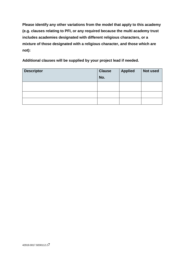**Please identify any other variations from the model that apply to this academy (e.g. clauses relating to PFI, or any required because the multi academy trust includes academies designated with different religious characters, or a mixture of those designated with a religious character, and those which are not):**

**Additional clauses will be supplied by your project lead if needed.**

| <b>Descriptor</b> | <b>Clause</b><br>No. | <b>Applied</b> | Not used |
|-------------------|----------------------|----------------|----------|
|                   |                      |                |          |
|                   |                      |                |          |
|                   |                      |                |          |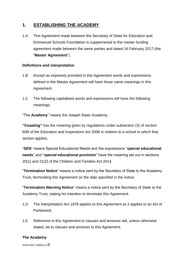# <span id="page-7-0"></span>**1. ESTABLISHING THE ACADEMY**

1.A This Agreement made between the Secretary of State for Education and Emmanuel Schools Foundation is supplemental to the master funding agreement made between the same parties and dated 16 February 2017 (the "**Master Agreement**").

#### <span id="page-7-1"></span>**Definitions and interpretation**

- 1.B Except as expressly provided in this Agreement words and expressions defined in the Master Agreement will have those same meanings in this Agreement.
- 1.C The following capitalised words and expressions will have the following meanings:

"The **Academy**" means the Joseph Swan Academy.

**"Coasting"** has the meaning given by regulations under subsection (3) of section 60B of the Education and Inspections Act 2006 in relation to a school to which that section applies.

"**SEN**" means Special Educational Needs and the expressions "**special educational needs**" and "**special educational provision**" have the meaning set out in sections 20(1) and 21(2) of the Children and Families Act 2014.

"**Termination Notice**" means a notice sent by the Secretary of State to the Academy Trust, terminating this Agreement on the date specified in the notice.

"**Termination Warning Notice**" means a notice sent by the Secretary of State to the Academy Trust, stating his intention to terminate this Agreement.

- 1.D The Interpretation Act 1978 applies to this Agreement as it applies to an Act of Parliament.
- 1.E Reference in this Agreement to clauses and annexes will, unless otherwise stated, be to clauses and annexes to this Agreement.

#### <span id="page-7-2"></span>**The Academy**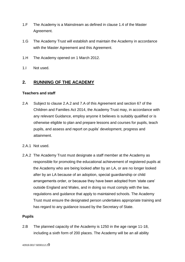- 1.F The Academy is a Mainstream as defined in clause 1.4 of the Master Agreement.
- 1.G The Academy Trust will establish and maintain the Academy in accordance with the Master Agreement and this Agreement.
- 1.H The Academy opened on 1 March 2012.
- 1.I Not used.

### <span id="page-8-0"></span>**2. RUNNING OF THE ACADEMY**

#### <span id="page-8-1"></span>**Teachers and staff**

- 2.A Subject to clause 2.A.2 and 7.A of this Agreement and section 67 of the Children and Families Act 2014, the Academy Trust may, in accordance with any relevant Guidance, employ anyone it believes is suitably qualified or is otherwise eligible to plan and prepare lessons and courses for pupils, teach pupils, and assess and report on pupils' development, progress and attainment.
- 2.A.1 Not used.
- 2.A.2 The Academy Trust must designate a staff member at the Academy as responsible for promoting the educational achievement of registered pupils at the Academy who are being looked after by an LA, or are no longer looked after by an LA because of an adoption, special guardianship or child arrangements order, or because they have been adopted from 'state care' outside England and Wales, and in doing so must comply with the law, regulations and guidance that apply to maintained schools. The Academy Trust must ensure the designated person undertakes appropriate training and has regard to any guidance issued by the Secretary of State.

#### <span id="page-8-2"></span>**Pupils**

2.B The planned capacity of the Academy is 1250 in the age range 11-18, including a sixth form of 200 places. The Academy will be an all ability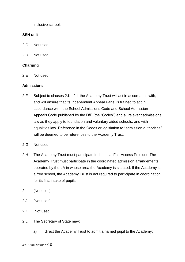inclusive school.

#### <span id="page-9-0"></span>**SEN unit**

2.C Not used.

2.D Not used.

#### <span id="page-9-1"></span>**Charging**

2.E Not used.

#### <span id="page-9-2"></span>**Admissions**

- 2.F Subject to clauses 2.K– 2.L the Academy Trust will act in accordance with, and will ensure that its Independent Appeal Panel is trained to act in accordance with, the School Admissions Code and School Admission Appeals Code published by the DfE (the "Codes") and all relevant admissions law as they apply to foundation and voluntary aided schools, and with equalities law. Reference in the Codes or legislation to "admission authorities" will be deemed to be references to the Academy Trust.
- 2.G Not used.
- 2.H The Academy Trust must participate in the local Fair Access Protocol. The Academy Trust must participate in the coordinated admission arrangements operated by the LA in whose area the Academy is situated. If the Academy is a free school, the Academy Trust is not required to participate in coordination for its first intake of pupils.
- 2.I [Not used]
- 2.J [Not used]
- 2.K [Not used]
- 2.L The Secretary of State may:
	- a) direct the Academy Trust to admit a named pupil to the Academy: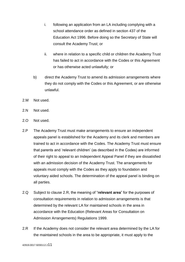- i. following an application from an LA including complying with a school attendance order as defined in section 437 of the Education Act 1996. Before doing so the Secretary of State will consult the Academy Trust; or
- ii. where in relation to a specific child or children the Academy Trust has failed to act in accordance with the Codes or this Agreement or has otherwise acted unlawfully; or
- b) direct the Academy Trust to amend its admission arrangements where they do not comply with the Codes or this Agreement, or are otherwise unlawful.
- 2.M Not used.
- 2.N Not used.
- 2.O Not used.
- 2.P The Academy Trust must make arrangements to ensure an independent appeals panel is established for the Academy and its clerk and members are trained to act in accordance with the Codes. The Academy Trust must ensure that parents and 'relevant children' (as described in the Codes) are informed of their right to appeal to an Independent Appeal Panel if they are dissatisfied with an admission decision of the Academy Trust. The arrangements for appeals must comply with the Codes as they apply to foundation and voluntary aided schools. The determination of the appeal panel is binding on all parties.
- 2.Q Subject to clause 2.R, the meaning of "**relevant area**" for the purposes of consultation requirements in relation to admission arrangements is that determined by the relevant LA for maintained schools in the area in accordance with the Education (Relevant Areas for Consultation on Admission Arrangements) Regulations 1999.
- 2.R If the Academy does not consider the relevant area determined by the LA for the maintained schools in the area to be appropriate, it must apply to the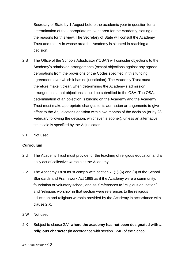Secretary of State by 1 August before the academic year in question for a determination of the appropriate relevant area for the Academy, setting out the reasons for this view. The Secretary of State will consult the Academy Trust and the LA in whose area the Academy is situated in reaching a decision.

- 2.S The Office of the Schools Adjudicator ("OSA") will consider objections to the Academy's admission arrangements (except objections against any agreed derogations from the provisions of the Codes specified in this funding agreement, over which it has no jurisdiction). The Academy Trust must therefore make it clear, when determining the Academy's admission arrangements, that objections should be submitted to the OSA. The OSA's determination of an objection is binding on the Academy and the Academy Trust must make appropriate changes to its admission arrangements to give effect to the Adjudicator's decision within two months of the decision (or by 28 February following the decision, whichever is sooner), unless an alternative timescale is specified by the Adjudicator.
- 2.T Not used.

#### <span id="page-11-0"></span>**Curriculum**

- 2.U The Academy Trust must provide for the teaching of religious education and a daily act of collective worship at the Academy.
- 2.V The Academy Trust must comply with section 71(1)-(6) and (8) of the School Standards and Framework Act 1998 as if the Academy were a community, foundation or voluntary school, and as if references to "religious education" and "religious worship" in that section were references to the religious education and religious worship provided by the Academy in accordance with clause 2.X*.*
- 2.W Not used.
- 2.X Subject to clause 2.V, **where the academy has not been designated with a religious character** (in accordance with section 124B of the School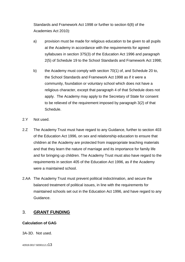Standards and Framework Act 1998 or further to section 6(8) of the Academies Act 2010):

- a) provision must be made for religious education to be given to all pupils at the Academy in accordance with the requirements for agreed syllabuses in section 375(3) of the Education Act 1996 and paragraph 2(5) of Schedule 19 to the School Standards and Framework Act 1998;
- b) the Academy must comply with section 70(1) of, and Schedule 20 to, the School Standards and Framework Act 1998 as if it were a community, foundation or voluntary school which does not have a religious character, except that paragraph 4 of that Schedule does not apply. The Academy may apply to the Secretary of State for consent to be relieved of the requirement imposed by paragraph 3(2) of that Schedule.
- 2.Y Not used.
- 2.Z The Academy Trust must have regard to any Guidance, further to section 403 of the Education Act 1996, on sex and relationship education to ensure that children at the Academy are protected from inappropriate teaching materials and that they learn the nature of marriage and its importance for family life and for bringing up children. The Academy Trust must also have regard to the requirements in section 405 of the Education Act 1996, as if the Academy were a maintained school.
- 2.AA The Academy Trust must prevent political indoctrination, and secure the balanced treatment of political issues, in line with the requirements for maintained schools set out in the Education Act 1996, and have regard to any Guidance.

## <span id="page-12-0"></span>3. **GRANT FUNDING**

#### <span id="page-12-1"></span>**Calculation of GAG**

3A-3D. Not used.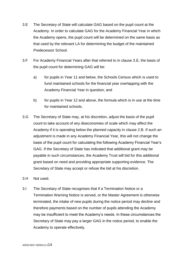- 3.E The Secretary of State will calculate GAG based on the pupil count at the Academy. In order to calculate GAG for the Academy Financial Year in which the Academy opens, the pupil count will be determined on the same basis as that used by the relevant LA for determining the budget of the maintained Predecessor School.
- 3.F For Academy Financial Years after that referred to in clause 3.E, the basis of the pupil count for determining GAG will be:
	- a) for pupils in Year 11 and below, the Schools Census which is used to fund maintained schools for the financial year overlapping with the Academy Financial Year in question; and
	- b) for pupils in Year 12 and above, the formula which is in use at the time for maintained schools.
- 3.G The Secretary of State may, at his discretion, adjust the basis of the pupil count to take account of any diseconomies of scale which may affect the Academy if it is operating below the planned capacity in clause 2.B. If such an adjustment is made in any Academy Financial Year, this will not change the basis of the pupil count for calculating the following Academy Financial Year's GAG. If the Secretary of State has indicated that additional grant may be payable in such circumstances, the Academy Trust will bid for this additional grant based on need and providing appropriate supporting evidence. The Secretary of State may accept or refuse the bid at his discretion.
- 3.H Not used.
- 3.I The Secretary of State recognises that if a Termination Notice or a Termination Warning Notice is served, or the Master Agreement is otherwise terminated, the intake of new pupils during the notice period may decline and therefore payments based on the number of pupils attending the Academy may be insufficient to meet the Academy's needs. In these circumstances the Secretary of State may pay a larger GAG in the notice period, to enable the Academy to operate effectively.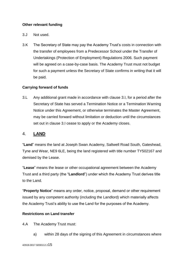#### <span id="page-14-0"></span>**Other relevant funding**

- 3.J Not used.
- 3.K The Secretary of State may pay the Academy Trust's costs in connection with the transfer of employees from a Predecessor School under the Transfer of Undertakings (Protection of Employment) Regulations 2006. Such payment will be agreed on a case-by-case basis. The Academy Trust must not budget for such a payment unless the Secretary of State confirms in writing that it will be paid.

#### **Carrying forward of funds**

3.L Any additional grant made in accordance with clause 3.I, for a period after the Secretary of State has served a Termination Notice or a Termination Warning Notice under this Agreement, or otherwise terminates the Master Agreement, may be carried forward without limitation or deduction until the circumstances set out in clause 3.I cease to apply or the Academy closes.

#### <span id="page-14-1"></span>4. **LAND**

"**Land**" means the land at Joseph Swan Academy, Saltwell Road South, Gateshead, Tyne and Wear, NE9 6LE, being the land registered with title number TY502167 and demised by the Lease.

"**Lease**" means the lease or other occupational agreement between the Academy Trust and a third party (the "**Landlord**") under which the Academy Trust derives title to the Land.

"**Property Notice**" means any order, notice, proposal, demand or other requirement issued by any competent authority (including the Landlord) which materially affects the Academy Trust's ability to use the Land for the purposes of the Academy.

#### **Restrictions on Land transfer**

4.A The Academy Trust must:

a) within 28 days of the signing of this Agreement in circumstances where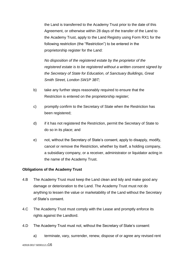the Land is transferred to the Academy Trust prior to the date of this Agreement, or otherwise within 28 days of the transfer of the Land to the Academy Trust, apply to the Land Registry using Form RX1 for the following restriction (the "Restriction") to be entered in the proprietorship register for the Land:

*No disposition of the registered estate by the proprietor of the registered estate is to be registered without a written consent signed by the Secretary of State for Education, of Sanctuary Buildings, Great Smith Street, London SW1P 3BT;*

- b) take any further steps reasonably required to ensure that the Restriction is entered on the proprietorship register;
- c) promptly confirm to the Secretary of State when the Restriction has been registered;
- d) if it has not registered the Restriction, permit the Secretary of State to do so in its place; and
- e) not, without the Secretary of State's consent, apply to disapply, modify, cancel or remove the Restriction, whether by itself, a holding company, a subsidiary company, or a receiver, administrator or liquidator acting in the name of the Academy Trust.

#### **Obligations of the Academy Trust**

- 4.B The Academy Trust must keep the Land clean and tidy and make good any damage or deterioration to the Land. The Academy Trust must not do anything to lessen the value or marketability of the Land without the Secretary of State's consent.
- 4.C The Academy Trust must comply with the Lease and promptly enforce its rights against the Landlord.
- 4.D The Academy Trust must not, without the Secretary of State's consent:
	- a) terminate, vary, surrender, renew, dispose of or agree any revised rent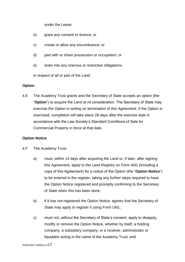under the Lease;

- b) grant any consent or licence; or
- c) create or allow any encumbrance; or
- d) part with or share possession or occupation; or
- e) enter into any onerous or restrictive obligations,

in respect of all or part of the Land.

#### **Option**

4.E The Academy Trust grants and the Secretary of State accepts an option (the "**Option**") to acquire the Land at nil consideration. The Secretary of State may exercise the Option in writing on termination of this Agreement. If the Option is exercised, completion will take place 28 days after the exercise date in accordance with the Law Society's Standard Conditions of Sale for Commercial Property in force at that date.

#### **Option Notice**

- 4.F The Academy Trust:
	- a) must, within 14 days after acquiring the Land or, if later, after signing this Agreement, apply to the Land Registry on Form AN1 (including a copy of this Agreement) for a notice of the Option (the "**Option Notice**") to be entered in the register, taking any further steps required to have the Option Notice registered and promptly confirming to the Secretary of State when this has been done;
	- b) if it has not registered the Option Notice, agrees that the Secretary of State may apply to register it using Form UN1;
	- c) must not, without the Secretary of State's consent, apply to disapply, modify or remove the Option Notice, whether by itself, a holding company, a subsidiary company, or a receiver, administrator or liquidator acting in the name of the Academy Trust, and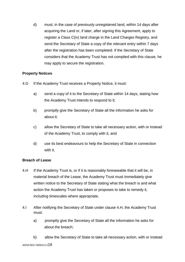d) must, in the case of previously unregistered land, within 14 days after acquiring the Land or, if later, after signing this Agreement, apply to register a Class C(iv) land charge in the Land Charges Registry, and send the Secretary of State a copy of the relevant entry within 7 days after the registration has been completed. If the Secretary of State considers that the Academy Trust has not complied with this clause, he may apply to secure the registration.

#### **Property Notices**

- 4.G If the Academy Trust receives a Property Notice, it must:
	- a) send a copy of it to the Secretary of State within 14 days, stating how the Academy Trust intends to respond to it;
	- b) promptly give the Secretary of State all the information he asks for about it;
	- c) allow the Secretary of State to take all necessary action, with or instead of the Academy Trust, to comply with it, and
	- d) use its best endeavours to help the Secretary of State in connection with it.

#### **Breach of Lease**

- 4.H If the Academy Trust is, or if it is reasonably foreseeable that it will be, in material breach of the Lease, the Academy Trust must immediately give written notice to the Secretary of State stating what the breach is and what action the Academy Trust has taken or proposes to take to remedy it, including timescales where appropriate.
- 4.I After notifying the Secretary of State under clause 4.H, the Academy Trust must:
	- a) promptly give the Secretary of State all the information he asks for about the breach;
- 42919.0017.9200112.218 b) allow the Secretary of State to take all necessary action, with or instead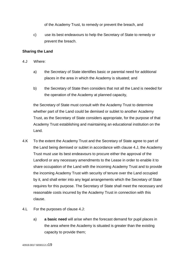of the Academy Trust, to remedy or prevent the breach, and

c) use its best endeavours to help the Secretary of State to remedy or prevent the breach.

#### **Sharing the Land**

- 4.J Where:
	- a) the Secretary of State identifies basic or parental need for additional places in the area in which the Academy is situated; and
	- b) the Secretary of State then considers that not all the Land is needed for the operation of the Academy at planned capacity,

the Secretary of State must consult with the Academy Trust to determine whether part of the Land could be demised or sublet to another Academy Trust, as the Secretary of State considers appropriate, for the purpose of that Academy Trust establishing and maintaining an educational institution on the Land.

- 4.K To the extent the Academy Trust and the Secretary of State agree to part of the Land being demised or sublet in accordance with clause 4.J, the Academy Trust must use its best endeavours to procure either the approval of the Landlord or any necessary amendments to the Lease in order to enable it to share occupation of the Land with the incoming Academy Trust and to provide the incoming Academy Trust with security of tenure over the Land occupied by it, and shall enter into any legal arrangements which the Secretary of State requires for this purpose. The Secretary of State shall meet the necessary and reasonable costs incurred by the Academy Trust in connection with this clause.
- 4.L For the purposes of clause 4.J:
	- a) **a basic need** will arise when the forecast demand for pupil places in the area where the Academy is situated is greater than the existing capacity to provide them;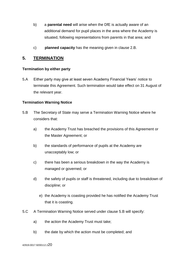- b) a **parental need** will arise when the DfE is actually aware of an additional demand for pupil places in the area where the Academy is situated, following representations from parents in that area; and
- c) **planned capacity** has the meaning given in clause 2.B.

#### <span id="page-19-0"></span>**5. TERMINATION**

#### <span id="page-19-1"></span>**Termination by either party**

5.A Either party may give at least seven Academy Financial Years' notice to terminate this Agreement. Such termination would take effect on 31 August of the relevant year.

#### <span id="page-19-2"></span>**Termination Warning Notice**

- 5.B The Secretary of State may serve a Termination Warning Notice where he considers that:
	- a) the Academy Trust has breached the provisions of this Agreement or the Master Agreement; or
	- b) the standards of performance of pupils at the Academy are unacceptably low; or
	- c) there has been a serious breakdown in the way the Academy is managed or governed; or
	- d) the safety of pupils or staff is threatened, including due to breakdown of discipline; or
		- e) the Academy is coasting provided he has notified the Academy Trust that it is coasting.
- 5.C A Termination Warning Notice served under clause 5.B will specify:
	- a) the action the Academy Trust must take;
	- b) the date by which the action must be completed; and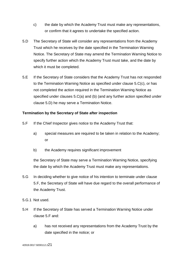- c) the date by which the Academy Trust must make any representations, or confirm that it agrees to undertake the specified action.
- 5.D The Secretary of State will consider any representations from the Academy Trust which he receives by the date specified in the Termination Warning Notice. The Secretary of State may amend the Termination Warning Notice to specify further action which the Academy Trust must take, and the date by which it must be completed.
- 5.E If the Secretary of State considers that the Academy Trust has not responded to the Termination Warning Notice as specified under clause 5.C(c), or has not completed the action required in the Termination Warning Notice as specified under clauses 5.C(a) and (b) (and any further action specified under clause 5.D) he may serve a Termination Notice.

#### <span id="page-20-0"></span>**Termination by the Secretary of State after inspection**

- 5.F If the Chief Inspector gives notice to the Academy Trust that:
	- a) special measures are required to be taken in relation to the Academy; or
	- b) the Academy requires significant improvement

the Secretary of State may serve a Termination Warning Notice, specifying the date by which the Academy Trust must make any representations.

- 5.G In deciding whether to give notice of his intention to terminate under clause 5.F, the Secretary of State will have due regard to the overall performance of the Academy Trust.
- 5.G.1 Not used.
- 5.H If the Secretary of State has served a Termination Warning Notice under clause 5.F and:
	- a) has not received any representations from the Academy Trust by the date specified in the notice; or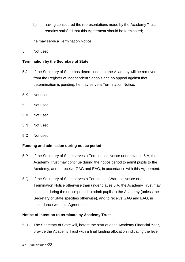b) having considered the representations made by the Academy Trust remains satisfied that this Agreement should be terminated;

he may serve a Termination Notice.

5.I Not used.

#### <span id="page-21-0"></span>**Termination by the Secretary of State**

- 5.J If the Secretary of State has determined that the Academy will be removed from the Register of Independent Schools and no appeal against that determination is pending, he may serve a Termination Notice.
- 5.K Not used.
- 5.L Not used.
- 5.M Not used.
- 5.N Not used.
- 5.O Not used.

#### <span id="page-21-1"></span>**Funding and admission during notice period**

- 5.P If the Secretary of State serves a Termination Notice under clause 5.A, the Academy Trust may continue during the notice period to admit pupils to the Academy, and to receive GAG and EAG, in accordance with this Agreement.
- 5.Q If the Secretary of State serves a Termination Warning Notice or a Termination Notice otherwise than under clause 5.A, the Academy Trust may continue during the notice period to admit pupils to the Academy (unless the Secretary of State specifies otherwise), and to receive GAG and EAG, in accordance with this Agreement.

#### <span id="page-21-2"></span>**Notice of intention to terminate by Academy Trust**

5.R The Secretary of State will, before the start of each Academy Financial Year, provide the Academy Trust with a final funding allocation indicating the level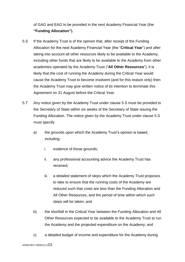of GAG and EAG to be provided in the next Academy Financial Year (the **"Funding Allocation").**

- 5.S If the Academy Trust is of the opinion that, after receipt of the Funding Allocation for the next Academy Financial Year (the "**Critical Year**") and after taking into account all other resources likely to be available to the Academy, including other funds that are likely to be available to the Academy from other academies operated by the Academy Trust ("**All Other Resources**"), it is likely that the cost of running the Academy during the Critical Year would cause the Academy Trust to become insolvent (and for this reason only) then the Academy Trust may give written notice of its intention to terminate this Agreement on 31 August before the Critical Year.
- 5.T Any notice given by the Academy Trust under clause 5.S must be provided to the Secretary of State within six weeks of the Secretary of State issuing the Funding Allocation. The notice given by the Academy Trust under clause 5.S must specify:
	- a) the grounds upon which the Academy Trust's opinion is based, including:
		- i. evidence of those grounds;
		- ii. any professional accounting advice the Academy Trust has received;
		- iii. a detailed statement of steps which the Academy Trust proposes to take to ensure that the running costs of the Academy are reduced such that costs are less than the Funding Allocation and All Other Resources, and the period of time within which such steps will be taken; and
	- b) the shortfall in the Critical Year between the Funding Allocation and All Other Resources expected to be available to the Academy Trust to run the Academy and the projected expenditure on the Academy; and
	- c) a detailed budget of income and expenditure for the Academy during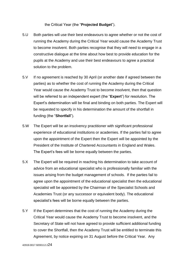#### the Critical Year (the "**Projected Budget**").

- 5.U Both parties will use their best endeavours to agree whether or not the cost of running the Academy during the Critical Year would cause the Academy Trust to become insolvent. Both parties recognise that they will need to engage in a constructive dialogue at the time about how best to provide education for the pupils at the Academy and use their best endeavours to agree a practical solution to the problem.
- 5.V If no agreement is reached by 30 April (or another date if agreed between the parties) as to whether the cost of running the Academy during the Critical Year would cause the Academy Trust to become insolvent, then that question will be referred to an independent expert (the "**Expert**") for resolution. The Expert's determination will be final and binding on both parties. The Expert will be requested to specify in his determination the amount of the shortfall in funding (the "**Shortfall**").
- 5.W The Expert will be an insolvency practitioner with significant professional experience of educational institutions or academies. If the parties fail to agree upon the appointment of the Expert then the Expert will be appointed by the President of the Institute of Chartered Accountants in England and Wales. The Expert's fees will be borne equally between the parties.
- 5.X The Expert will be required in reaching his determination to take account of advice from an educational specialist who is professionally familiar with the issues arising from the budget management of schools. If the parties fail to agree upon the appointment of the educational specialist then the educational specialist will be appointed by the Chairman of the Specialist Schools and Academies Trust (or any successor or equivalent body). The educational specialist's fees will be borne equally between the parties.
- 5.Y If the Expert determines that the cost of running the Academy during the Critical Year would cause the Academy Trust to become insolvent, and the Secretary of State will not have agreed to provide sufficient additional funding to cover the Shortfall, then the Academy Trust will be entitled to terminate this Agreement, by notice expiring on 31 August before the Critical Year. Any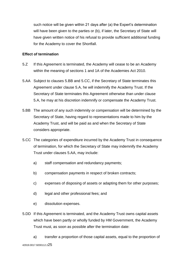such notice will be given within 21 days after (a) the Expert's determination will have been given to the parties or (b), if later, the Secretary of State will have given written notice of his refusal to provide sufficient additional funding for the Academy to cover the Shortfall.

#### <span id="page-24-0"></span>**Effect of termination**

- 5.Z If this Agreement is terminated, the Academy will cease to be an Academy within the meaning of sections 1 and 1A of the Academies Act 2010.
- 5.AA Subject to clauses 5.BB and 5.CC, if the Secretary of State terminates this Agreement under clause 5.A, he will indemnify the Academy Trust. If the Secretary of State terminates this Agreement otherwise than under clause 5.A, he may at his discretion indemnify or compensate the Academy Trust.
- 5.BB The amount of any such indemnity or compensation will be determined by the Secretary of State, having regard to representations made to him by the Academy Trust, and will be paid as and when the Secretary of State considers appropriate.
- 5.CC The categories of expenditure incurred by the Academy Trust in consequence of termination, for which the Secretary of State may indemnify the Academy Trust under clauses 5.AA, may include:
	- a) staff compensation and redundancy payments;
	- b) compensation payments in respect of broken contracts;
	- c) expenses of disposing of assets or adapting them for other purposes;
	- d) legal and other professional fees; and
	- e) dissolution expenses.
- 5.DD If this Agreement is terminated, and the Academy Trust owns capital assets which have been partly or wholly funded by HM Government, the Academy Trust must, as soon as possible after the termination date:

42919.0017.9200112.225 a) transfer a proportion of those capital assets, equal to the proportion of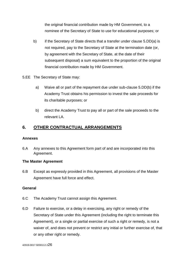the original financial contribution made by HM Government, to a nominee of the Secretary of State to use for educational purposes; or

- b) if the Secretary of State directs that a transfer under clause 5.DD(a) is not required, pay to the Secretary of State at the termination date (or, by agreement with the Secretary of State, at the date of their subsequent disposal) a sum equivalent to the proportion of the original financial contribution made by HM Government.
- 5.EE The Secretary of State may:
	- a) Waive all or part of the repayment due under sub-clause 5.DD(b) if the Academy Trust obtains his permission to invest the sale proceeds for its charitable purposes; or
	- b) direct the Academy Trust to pay all or part of the sale proceeds to the relevant LA.

# <span id="page-25-0"></span>**6. OTHER CONTRACTUAL ARRANGEMENTS**

#### <span id="page-25-1"></span>**Annexes**

6.A Any annexes to this Agreement form part of and are incorporated into this Agreement.

#### <span id="page-25-2"></span>**The Master Agreement**

6.B Except as expressly provided in this Agreement, all provisions of the Master Agreement have full force and effect.

#### <span id="page-25-3"></span>**General**

- 6.C The Academy Trust cannot assign this Agreement.
- 6.D Failure to exercise, or a delay in exercising, any right or remedy of the Secretary of State under this Agreement (including the right to terminate this Agreement), or a single or partial exercise of such a right or remedy, is not a waiver of, and does not prevent or restrict any initial or further exercise of, that or any other right or remedy.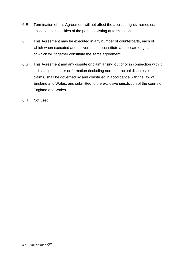- 6.E Termination of this Agreement will not affect the accrued rights, remedies, obligations or liabilities of the parties existing at termination.
- 6.F This Agreement may be executed in any number of counterparts, each of which when executed and delivered shall constitute a duplicate original, but all of which will together constitute the same agreement.
- 6.G This Agreement and any dispute or claim arising out of or in connection with it or its subject matter or formation (including non-contractual disputes or claims) shall be governed by and construed in accordance with the law of England and Wales, and submitted to the exclusive jurisdiction of the courts of England and Wales.
- 6.H Not used.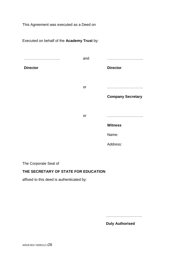This Agreement was executed as a Deed on

Executed on behalf of the **Academy Trust** by: ……………………….. **Director** and ……………………….. **Director** or ……………………….. **Company Secretary** or ……………………….. **Witness** Name: Address:

The Corporate Seal of

#### **THE SECRETARY OF STATE FOR EDUCATION**

affixed to this deed is authenticated by:

………………………..

**Duly Authorised**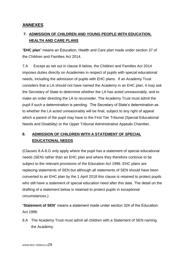# <span id="page-28-0"></span>**ANNEXES**

# <span id="page-28-1"></span>**7. ADMISSION OF CHILDREN AND YOUNG PEOPLE WITH EDUCATION, HEALTH AND CARE PLANS**

"**EHC plan**" means an Education, Health and Care plan made under section 37 of the Children and Families Act 2014.

7.A Except as set out in clause 8 below, the Children and Families Act 2014 imposes duties directly on Academies in respect of pupils with special educational needs, including the admission of pupils with EHC plans. If an Academy Trust considers that a LA should not have named the Academy in an EHC plan, it may ask the Secretary of State to determine whether the LA has acted unreasonably, and to make an order directing the LA to reconsider. The Academy Trust must admit the pupil if such a determination is pending. The Secretary of State's determination as to whether the LA acted unreasonably will be final, subject to any right of appeal which a parent of the pupil may have to the First Tier Tribunal (Special Educational Needs and Disability) or the Upper Tribunal Administrative Appeals Chamber.

# <span id="page-28-2"></span>**8. ADMISSION OF CHILDREN WITH A STATEMENT OF SPECIAL EDUCATIONAL NEEDS**

(Clauses 8.A-8.G only apply where the pupil has a statement of special educational needs (SEN) rather than an EHC plan and where they therefore continue to be subject to the relevant provisions of the Education Act 1996. EHC plans are replacing statements of SEN but although all statements of SEN should have been converted to an EHC plan by the 1 April 2018 this clause is retained to protect pupils who still have a statement of special education need after this date. The detail on the drafting of a statement below is retained to protect pupils in exceptional circumstances.)

"**Statement of SEN**" means a statement made under section 324 of the Education Act 1996.

8.A The Academy Trust must admit all children with a Statement of SEN naming the Academy.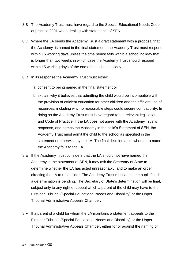- 8.B The Academy Trust must have regard to the Special Educational Needs Code of practice 2001 when dealing with statements of SEN.
- 8.C Where the LA sends the Academy Trust a draft statement with a proposal that the Academy is named in the final statement, the Academy Trust must respond within 15 working days unless the time period falls within a school holiday that is longer than two weeks in which case the Academy Trust should respond within 15 working days of the end of the school holiday.
- 8.D In its response the Academy Trust must either:
	- a. consent to being named in the final statement or
	- b. explain why it believes that admitting the child would be incompatible with the provision of efficient education for other children and the efficient use of resources, including why no reasonable steps could secure compatibility. In doing so the Academy Trust must have regard to the relevant legislation and Code of Practice. If the LA does not agree with the Academy Trust's response, and names the Academy in the child's Statement of SEN, the Academy Trust must admit the child to the school as specified in the statement or otherwise by the LA. The final decision as to whether to name the Academy falls to the LA.
- 8.E If the Academy Trust considers that the LA should not have named the Academy in the statement of SEN, it may ask the Secretary of State to determine whether the LA has acted unreasonably, and to make an order directing the LA to reconsider. The Academy Trust must admit the pupil if such a determination is pending. The Secretary of State's determination will be final, subject only to any right of appeal which a parent of the child may have to the First-tier Tribunal (Special Educational Needs and Disability) or the Upper Tribunal Administrative Appeals Chamber.
- 8.F If a parent of a child for whom the LA maintains a statement appeals to the First-tier Tribunal (Special Educational Needs and Disability) or the Upper Tribunal Administrative Appeals Chamber, either for or against the naming of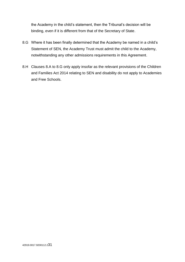the Academy in the child's statement, then the Tribunal's decision will be binding, even if it is different from that of the Secretary of State.

- 8.G Where it has been finally determined that the Academy be named in a child's Statement of SEN, the Academy Trust must admit the child to the Academy, notwithstanding any other admissions requirements in this Agreement.
- 8.H Clauses 8.A to 8.G only apply insofar as the relevant provisions of the Children and Families Act 2014 relating to SEN and disability do not apply to Academies and Free Schools.